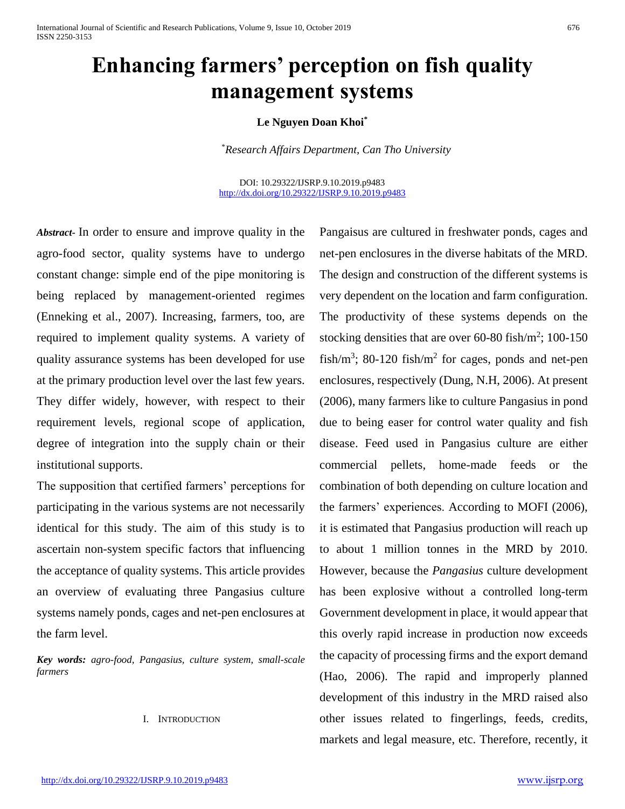# **Enhancing farmers' perception on fish quality management systems**

## **Le Nguyen Doan Khoi\***

\**Research Affairs Department, Can Tho University*

DOI: 10.29322/IJSRP.9.10.2019.p9483 <http://dx.doi.org/10.29322/IJSRP.9.10.2019.p9483>

*Abstract***-** In order to ensure and improve quality in the agro-food sector, quality systems have to undergo constant change: simple end of the pipe monitoring is being replaced by management-oriented regimes (Enneking et al., 2007). Increasing, farmers, too, are required to implement quality systems. A variety of quality assurance systems has been developed for use at the primary production level over the last few years. They differ widely, however, with respect to their requirement levels, regional scope of application, degree of integration into the supply chain or their institutional supports.

The supposition that certified farmers' perceptions for participating in the various systems are not necessarily identical for this study. The aim of this study is to ascertain non-system specific factors that influencing the acceptance of quality systems. This article provides an overview of evaluating three Pangasius culture systems namely ponds, cages and net-pen enclosures at the farm level.

*Key words: agro-food, Pangasius, culture system, small-scale farmers*

#### I. INTRODUCTION

Pangaisus are cultured in freshwater ponds, cages and net-pen enclosures in the diverse habitats of the MRD. The design and construction of the different systems is very dependent on the location and farm configuration. The productivity of these systems depends on the stocking densities that are over  $60-80$  fish/m<sup>2</sup>; 100-150 fish/m<sup>3</sup>; 80-120 fish/m<sup>2</sup> for cages, ponds and net-pen enclosures, respectively (Dung, N.H, 2006). At present (2006), many farmers like to culture Pangasius in pond due to being easer for control water quality and fish disease. Feed used in Pangasius culture are either commercial pellets, home-made feeds or the combination of both depending on culture location and the farmers' experiences. According to MOFI (2006), it is estimated that Pangasius production will reach up to about 1 million tonnes in the MRD by 2010. However, because the *Pangasius* culture development has been explosive without a controlled long-term Government development in place, it would appear that this overly rapid increase in production now exceeds the capacity of processing firms and the export demand (Hao, 2006). The rapid and improperly planned development of this industry in the MRD raised also other issues related to fingerlings, feeds, credits, markets and legal measure, etc. Therefore, recently, it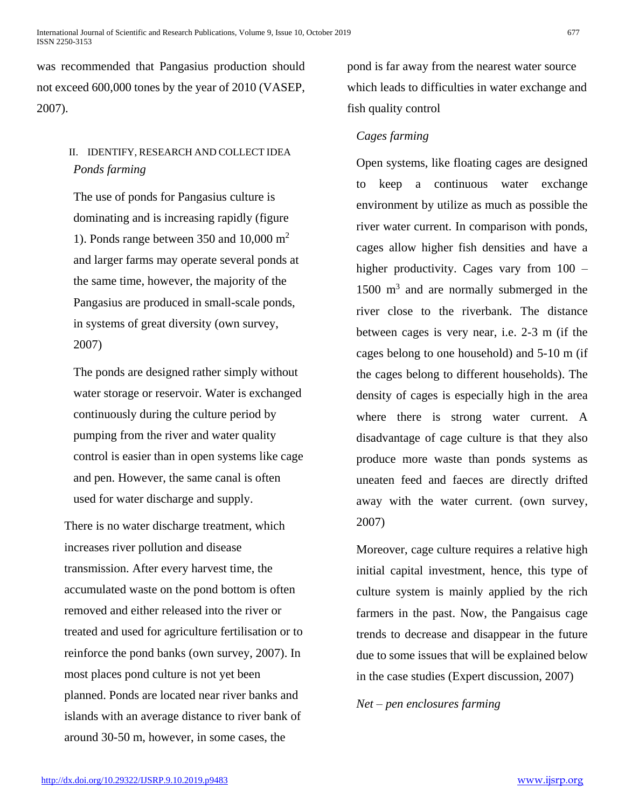was recommended that Pangasius production should not exceed 600,000 tones by the year of 2010 (VASEP, 2007).

## II. IDENTIFY, RESEARCH AND COLLECT IDEA *Ponds farming*

The use of ponds for Pangasius culture is dominating and is increasing rapidly (figure 1). Ponds range between 350 and 10,000  $m<sup>2</sup>$ and larger farms may operate several ponds at the same time, however, the majority of the Pangasius are produced in small-scale ponds, in systems of great diversity (own survey, 2007)

The ponds are designed rather simply without water storage or reservoir. Water is exchanged continuously during the culture period by pumping from the river and water quality control is easier than in open systems like cage and pen. However, the same canal is often used for water discharge and supply.

There is no water discharge treatment, which increases river pollution and disease transmission. After every harvest time, the accumulated waste on the pond bottom is often removed and either released into the river or treated and used for agriculture fertilisation or to reinforce the pond banks (own survey, 2007). In most places pond culture is not yet been planned. Ponds are located near river banks and islands with an average distance to river bank of around 30-50 m, however, in some cases, the

pond is far away from the nearest water source which leads to difficulties in water exchange and fish quality control

## *Cages farming*

Open systems, like floating cages are designed to keep a continuous water exchange environment by utilize as much as possible the river water current. In comparison with ponds, cages allow higher fish densities and have a higher productivity. Cages vary from  $100 -$ 1500 m<sup>3</sup> and are normally submerged in the river close to the riverbank. The distance between cages is very near, i.e. 2-3 m (if the cages belong to one household) and 5-10 m (if the cages belong to different households). The density of cages is especially high in the area where there is strong water current. A disadvantage of cage culture is that they also produce more waste than ponds systems as uneaten feed and faeces are directly drifted away with the water current. (own survey, 2007)

Moreover, cage culture requires a relative high initial capital investment, hence, this type of culture system is mainly applied by the rich farmers in the past. Now, the Pangaisus cage trends to decrease and disappear in the future due to some issues that will be explained below in the case studies (Expert discussion, 2007)

*Net – pen enclosures farming*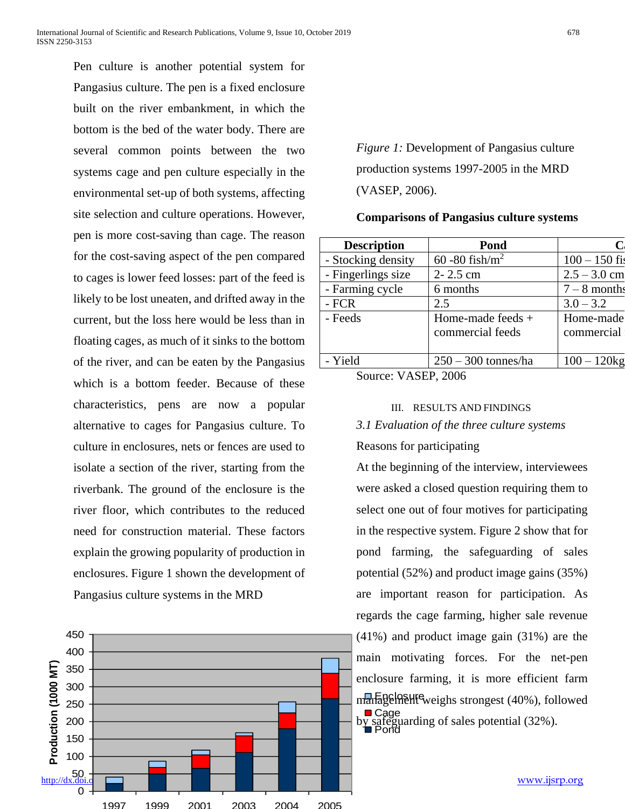Pen culture is another potential system for Pangasius culture. The pen is a fixed enclosure built on the river embankment, in which the bottom is the bed of the water body. There are several common points between the two systems cage and pen culture especially in the environmental set-up of both systems, affecting site selection and culture operations. However, pen is more cost-saving than cage. The reason for the cost-saving aspect of the pen compared to cages is lower feed losses: part of the feed is likely to be lost uneaten, and drifted away in the current, but the loss here would be less than in floating cages, as much of it sinks to the bottom of the river, and can be eaten by the Pangasius which is a bottom feeder. Because of these characteristics, pens are now a popular alternative to cages for Pangasius culture. To culture in enclosures, nets or fences are used to isolate a section of the river, starting from the riverbank. The ground of the enclosure is the river floor, which contributes to the reduced need for construction material. These factors explain the growing popularity of production in enclosures. Figure 1 shown the development of Pangasius culture systems in the MRD



1997 1999 2001 2003 2004 2005

*Figure 1:* Development of Pangasius culture production systems 1997-2005 in the MRD (VASEP, 2006).

#### **Comparisons of Pangasius culture systems**

| <b>Description</b>                               | Pond                                    |                         |  |
|--------------------------------------------------|-----------------------------------------|-------------------------|--|
| - Stocking density                               | 60 - 80 fish/ $m^2$                     | $100 - 150$ fis         |  |
| - Fingerlings size                               | 2-2.5 cm                                | $2.5 - 3.0$ cm          |  |
| - Farming cycle                                  | 6 months                                | $7 - 8$ months          |  |
| - FCR                                            | 2.5                                     | $3.0 - 3.2$             |  |
| - Feeds                                          | Home-made feeds $+$<br>commercial feeds | Home-made<br>commercial |  |
| - Yield                                          | $250 - 300$ tonnes/ha                   | $100 - 120$ kg          |  |
| $C_{\text{out}}$ $\sim$ $N \Lambda$ CED $\Omega$ |                                         |                         |  |

Source: VASEP, 2006

## III. RESULTS AND FINDINGS

### *3.1 Evaluation of the three culture systems*

Reasons for participating

managelne H<sup>e</sup>weighs strongest (40%), followed Cage by safeguarding of sales potential (32%).<br>
Pond At the beginning of the interview, interviewees were asked a closed question requiring them to select one out of four motives for participating in the respective system. Figure 2 show that for pond farming, the safeguarding of sales potential (52%) and product image gains (35%) are important reason for participation. As regards the cage farming, higher sale revenue (41%) and product image gain (31%) are the main motivating forces. For the net-pen enclosure farming, it is more efficient farm

<u>[www.ijsrp.org](http://ijsrp.org/)</u>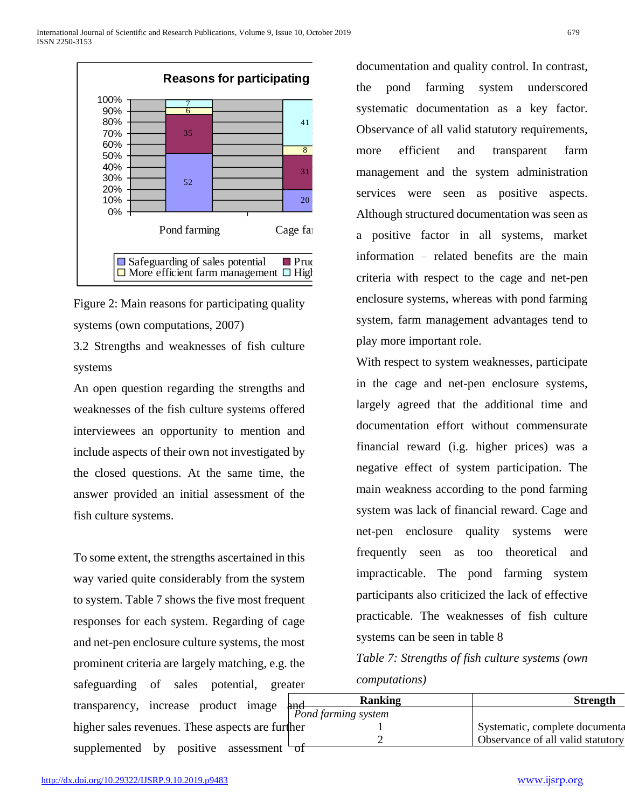

Figure 2: Main reasons for participating quality systems (own computations, 2007)

3.2 Strengths and weaknesses of fish culture systems

An open question regarding the strengths and weaknesses of the fish culture systems offered interviewees an opportunity to mention and include aspects of their own not investigated by the closed questions. At the same time, the answer provided an initial assessment of the fish culture systems.

To some extent, the strengths ascertained in this way varied quite considerably from the system to system. Table 7 shows the five most frequent responses for each system. Regarding of cage and net-pen enclosure culture systems, the most prominent criteria are largely matching, e.g. the safeguarding of sales potential, greater transparency, increase product image higher sales revenues. These aspects are furthersupplemented by positive assessment  $\overline{ot}$ 

documentation and quality control. In contrast, the pond farming system underscored systematic documentation as a key factor. Observance of all valid statutory requirements, more efficient and transparent farm 31 management and the system administration services were seen as positive aspects. Although structured documentation was seen as Pond farming Cage farming Cage farming cage farming a positive factor in all systems, market information – related benefits are the main criteria with respect to the cage and net-pen enclosure systems, whereas with pond farming system, farm management advantages tend to play more important role.

With respect to system weaknesses, participate in the cage and net-pen enclosure systems, largely agreed that the additional time and documentation effort without commensurate financial reward (i.g. higher prices) was a negative effect of system participation. The main weakness according to the pond farming system was lack of financial reward. Cage and net-pen enclosure quality systems were frequently seen as too theoretical and impracticable. The pond farming system participants also criticized the lack of effective practicable. The weaknesses of fish culture systems can be seen in table 8 **Reasons for participating**<br>  $\frac{1}{2}$  states and the systematic documentation as a key factor.<br>  $\frac{1}{2}$  states and the system administration converges full valid statutory requirements,<br>  $\frac{1}{2}$  conservance of all va

*Table 7: Strengths of fish culture systems (own computations)*

|     | <b>Ranking</b>            | <b>Strength</b>                   |
|-----|---------------------------|-----------------------------------|
|     | nd<br>Pond farming system |                                   |
| er  |                           | Systematic, complete documenta    |
|     |                           | Observance of all valid statutory |
| റ്ന |                           |                                   |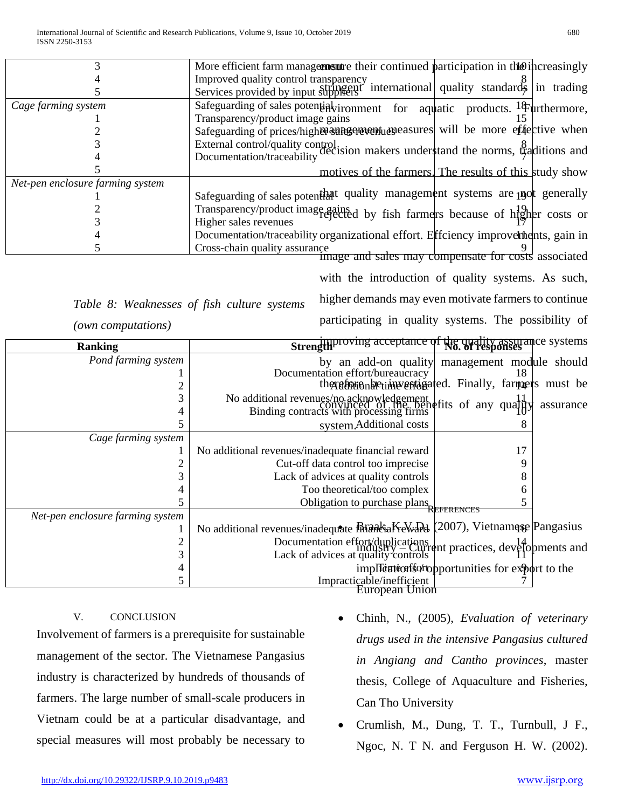|                                                     | More efficient farm managernsure their continued participation in the increasingly                                   |  |
|-----------------------------------------------------|----------------------------------------------------------------------------------------------------------------------|--|
|                                                     | Improved quality control transparency                                                                                |  |
|                                                     | Services provided by input suppliers <sup>'</sup> international quality standards in trading                         |  |
| Cage farming system                                 | Safeguarding of sales potential vironment for aquatic products. <sup>18</sup> furthermore,                           |  |
|                                                     | Transparency/product image gains                                                                                     |  |
|                                                     | Safeguarding of prices/highen antagement and assured will be more effective when                                     |  |
|                                                     |                                                                                                                      |  |
|                                                     | External control/quality control.<br>Documentation/traceability decision makers understand the norms, traditions and |  |
|                                                     | motives of the farmers. The results of this study show                                                               |  |
| Net-pen enclosure farming system                    |                                                                                                                      |  |
|                                                     | Safeguarding of sales potenthat quality management systems are post generally                                        |  |
|                                                     | Transparency/product image gained by fish farmers because of higher costs or                                         |  |
|                                                     | Higher sales revenues                                                                                                |  |
|                                                     | Documentation/traceability organizational effort. Effciency improver thents, gain in                                 |  |
|                                                     | Cross-chain quality assurance                                                                                        |  |
| image and sales may compensate for costs associated |                                                                                                                      |  |

with the introduction of quality systems. As such, higher demands may even motivate farmers to continue

participating in quality systems. The possibility of

*Table 8: Weaknesses of fish culture systems* 

*(own computations)*

| <b>Ranking</b>                   | <b>Strength</b> proving acceptance of the quality assurance systems                                                                           |  |
|----------------------------------|-----------------------------------------------------------------------------------------------------------------------------------------------|--|
| Pond farming system              | by an add-on quality management module should                                                                                                 |  |
|                                  | Documentation effort/bureaucracy<br>18                                                                                                        |  |
|                                  | thexafors also him vertigated. Finally, farmers must be                                                                                       |  |
|                                  | No additional revenues/no acknowledgement<br>Convinced of the benefits of any quality<br>Binding contracts with processing firms<br>assurance |  |
|                                  |                                                                                                                                               |  |
|                                  | system.Additional costs<br>8                                                                                                                  |  |
| Cage farming system              |                                                                                                                                               |  |
|                                  | 17<br>No additional revenues/inadequate financial reward                                                                                      |  |
|                                  | Cut-off data control too imprecise<br>9                                                                                                       |  |
|                                  | Lack of advices at quality controls<br>8                                                                                                      |  |
|                                  | Too theoretical/too complex<br>h.                                                                                                             |  |
|                                  | Obligation to purchase plans                                                                                                                  |  |
| Net-pen enclosure farming system |                                                                                                                                               |  |
|                                  | No additional revenues/inadequate <b>Brank</b> iaKeWaPd (2007), Vietnamese Pangasius                                                          |  |
|                                  |                                                                                                                                               |  |
|                                  | Documentation effort/duplications<br>Industry – Current practices, developments and<br>Lack of advices at quality controls                    |  |
|                                  | implication for opportunities for export to the                                                                                               |  |
|                                  | Impracticable/inefficient                                                                                                                     |  |
| European Union                   |                                                                                                                                               |  |

## V. CONCLUSION

Involvement of farmers is a prerequisite for sustainable management of the sector. The Vietnamese Pangasius industry is characterized by hundreds of thousands of farmers. The large number of small-scale producers in Vietnam could be at a particular disadvantage, and special measures will most probably be necessary to

- Chinh, N., (2005), *Evaluation of veterinary drugs used in the intensive Pangasius cultured in Angiang and Cantho provinces*, master thesis, College of Aquaculture and Fisheries, Can Tho University
- Crumlish, M., Dung, T. T., Turnbull, J F., Ngoc, N. T N. and Ferguson H. W. (2002).